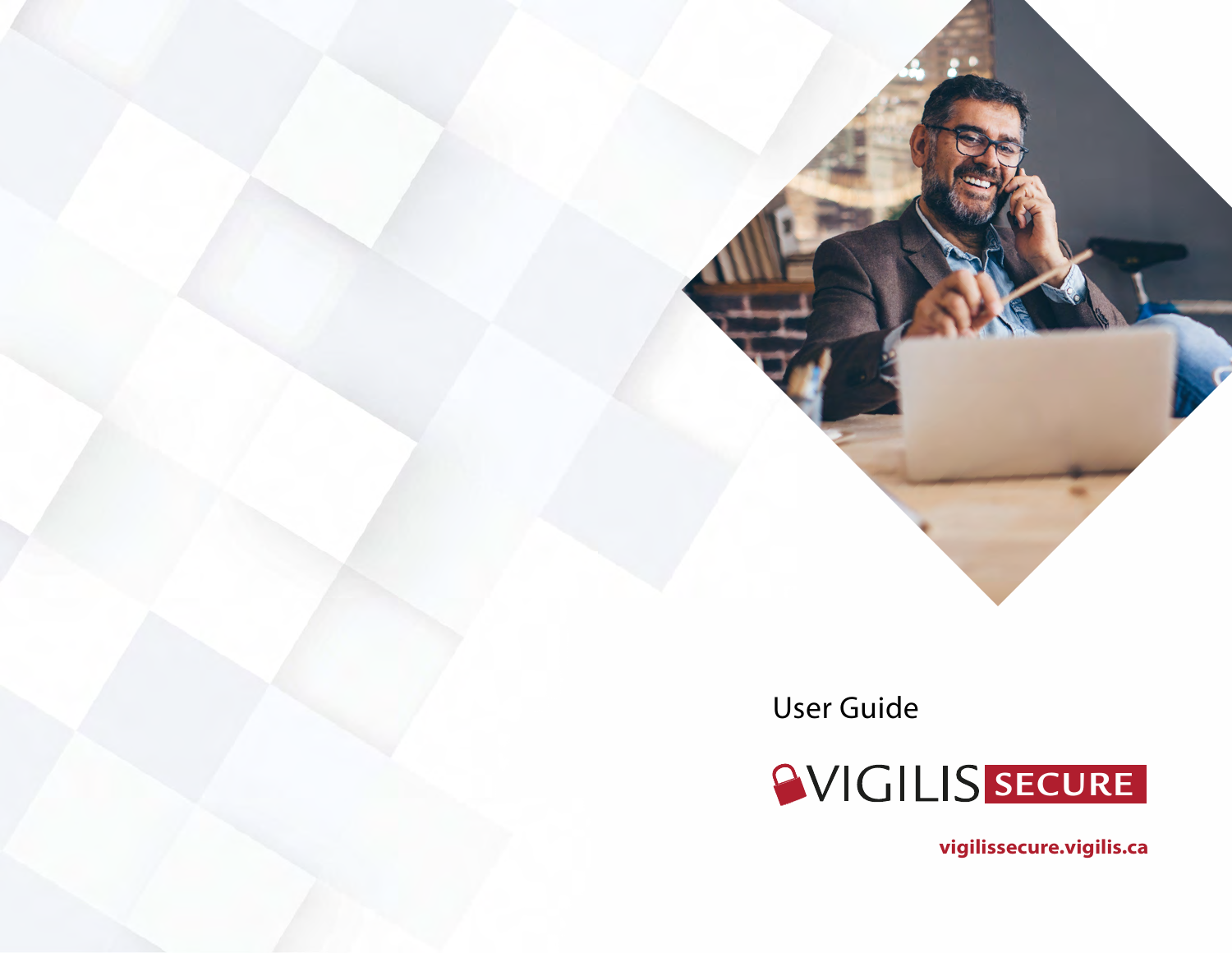User Guide



**vigilissecure.vigilis.ca**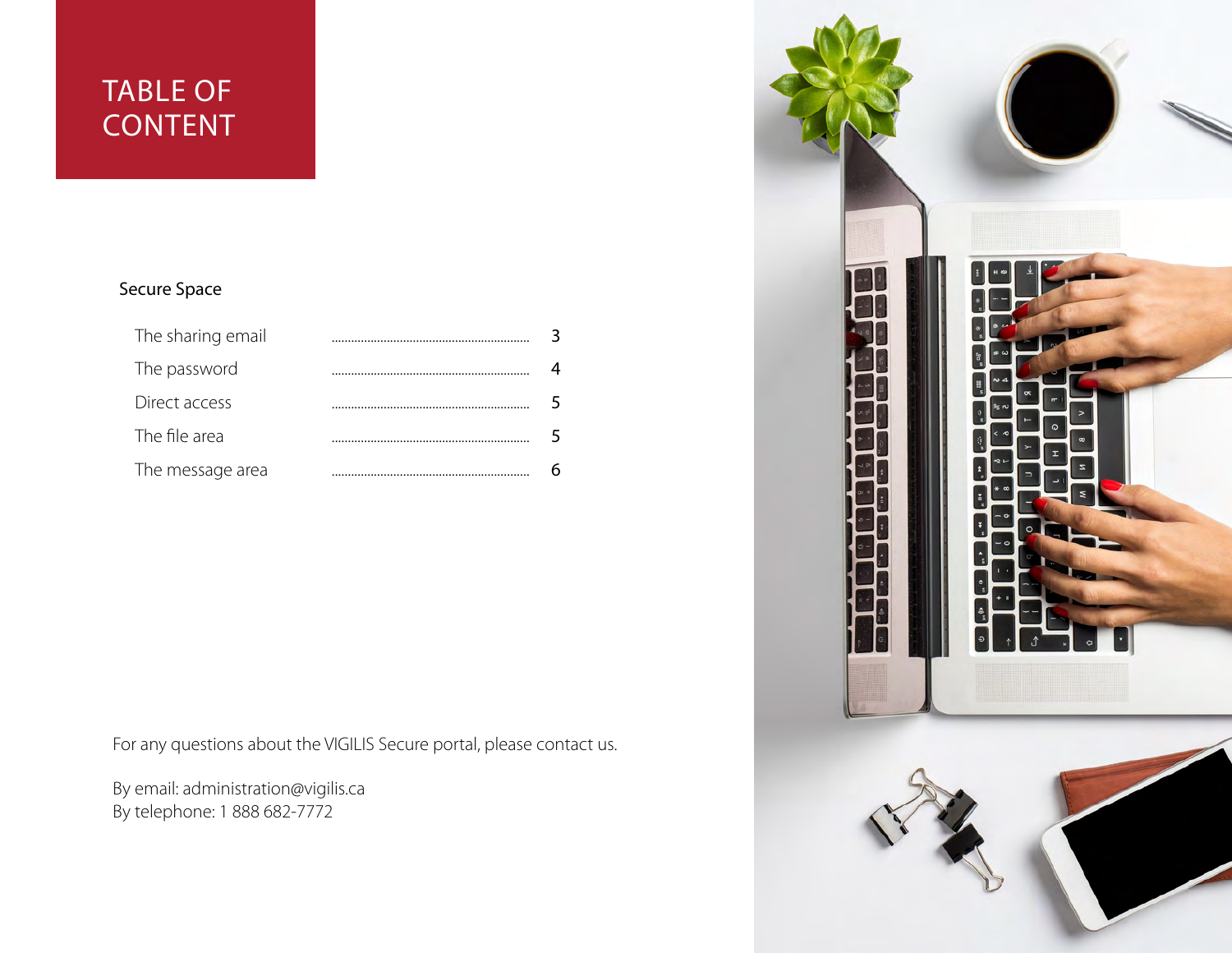## TABLE OF **CONTENT**

#### Secure Space

| The sharing email |  |
|-------------------|--|
| The password      |  |
| Direct access     |  |
| The file area     |  |
| The message area  |  |

For any questions about the VIGILIS Secure portal, please contact us.

By email: administration@vigilis.ca By telephone: 1 888 682-7772

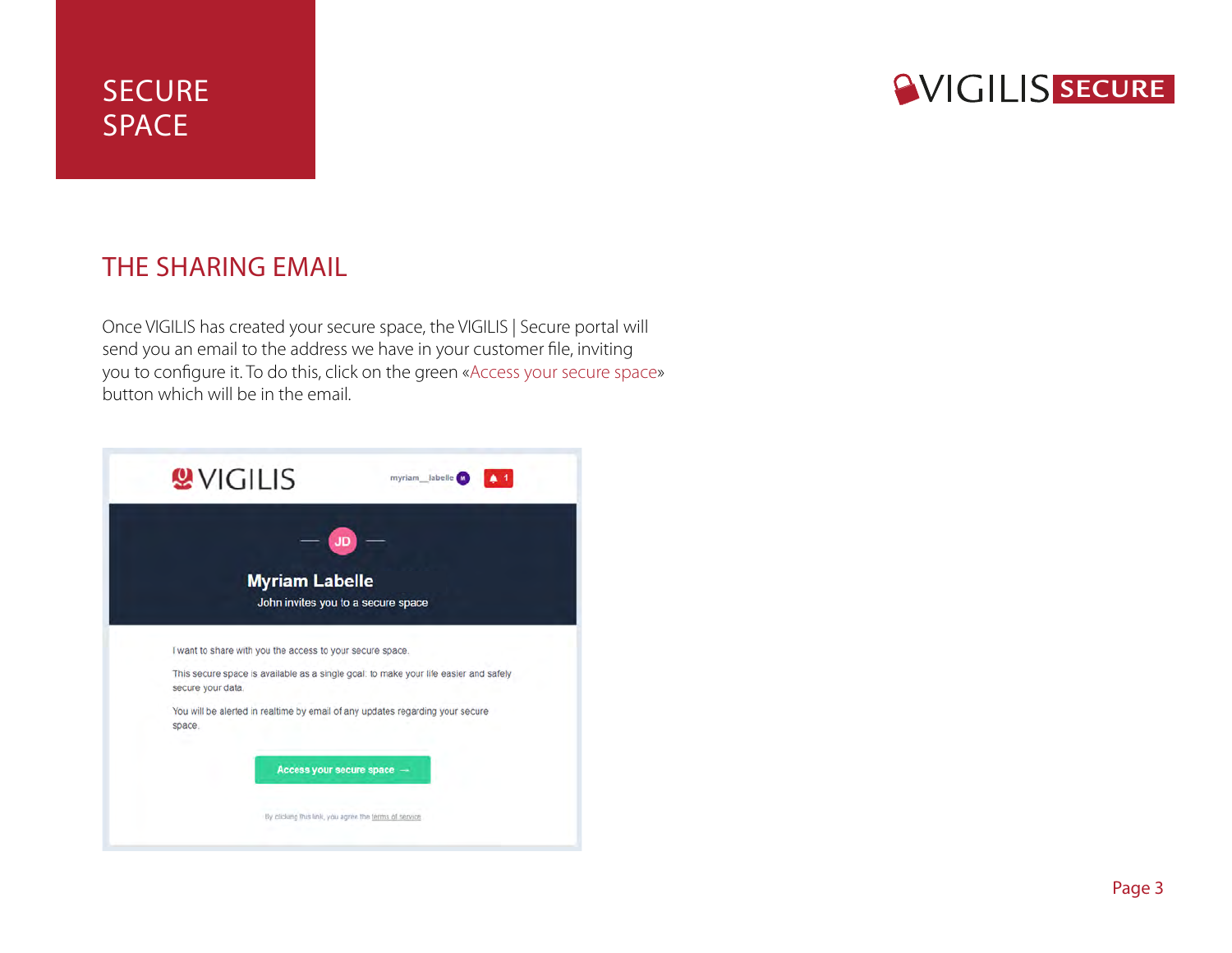# **SVIGILIS SECURE**

#### THE SHARING EMAIL

Once VIGILIS has created your secure space, the VIGILIS | Secure portal will send you an email to the address we have in your customer file, inviting you to configure it. To do this, click on the green «Access your secure space» button which will be in the email.

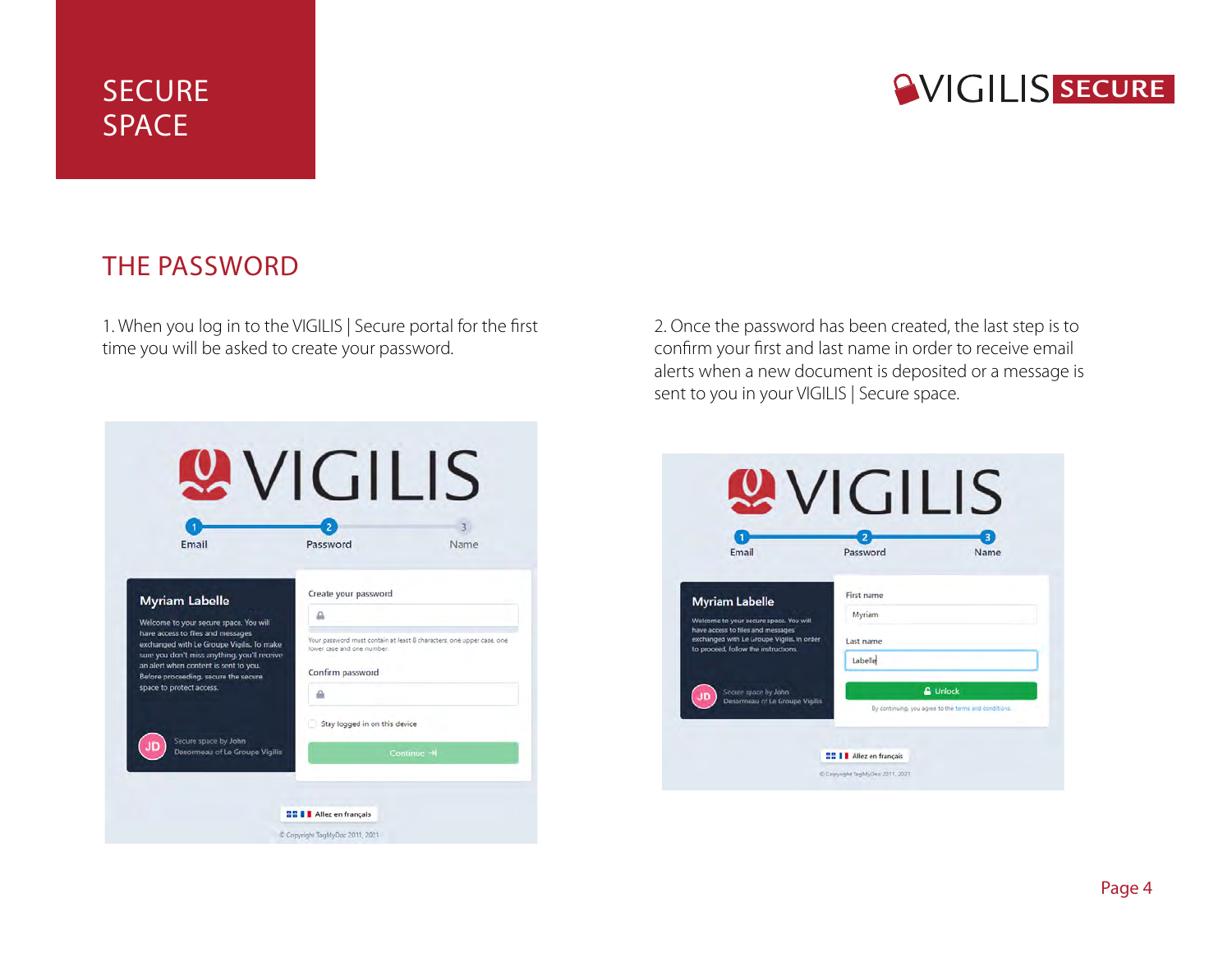# **SVIGILIS SECURE**

#### THE PASSWORD

1. When you log in to the VIGILIS | Secure portal for the first time you will be asked to create your password.

2. Once the password has been created, the last step is to confirm your first and last name in order to receive email alerts when a new document is deposited or a message is sent to you in your VIGILIS | Secure space.

| Email                                                                                                                          | Password                      | Name                                                                  |
|--------------------------------------------------------------------------------------------------------------------------------|-------------------------------|-----------------------------------------------------------------------|
| <b>Myriam Labelle</b>                                                                                                          | Create your password          |                                                                       |
| Welcome to your secure space. You will                                                                                         | ≞                             |                                                                       |
| have access to files and messages<br>exchanged with Le Groupe Vigilis. To make<br>sure you don't miss anything, you'll receive | lower case and one number.    | Your password must contain at least 8 characters, one upper case, one |
| an alert when content is sent to you.<br>Before proceeding, secure the secure                                                  | Confirm password              |                                                                       |
| space to protect access.                                                                                                       | ₽                             |                                                                       |
|                                                                                                                                | Stay logged in on this device |                                                                       |
| Secure space by John<br>ΠD<br>Desormeau of Le Groupe Vigilis                                                                   |                               | Continue →                                                            |

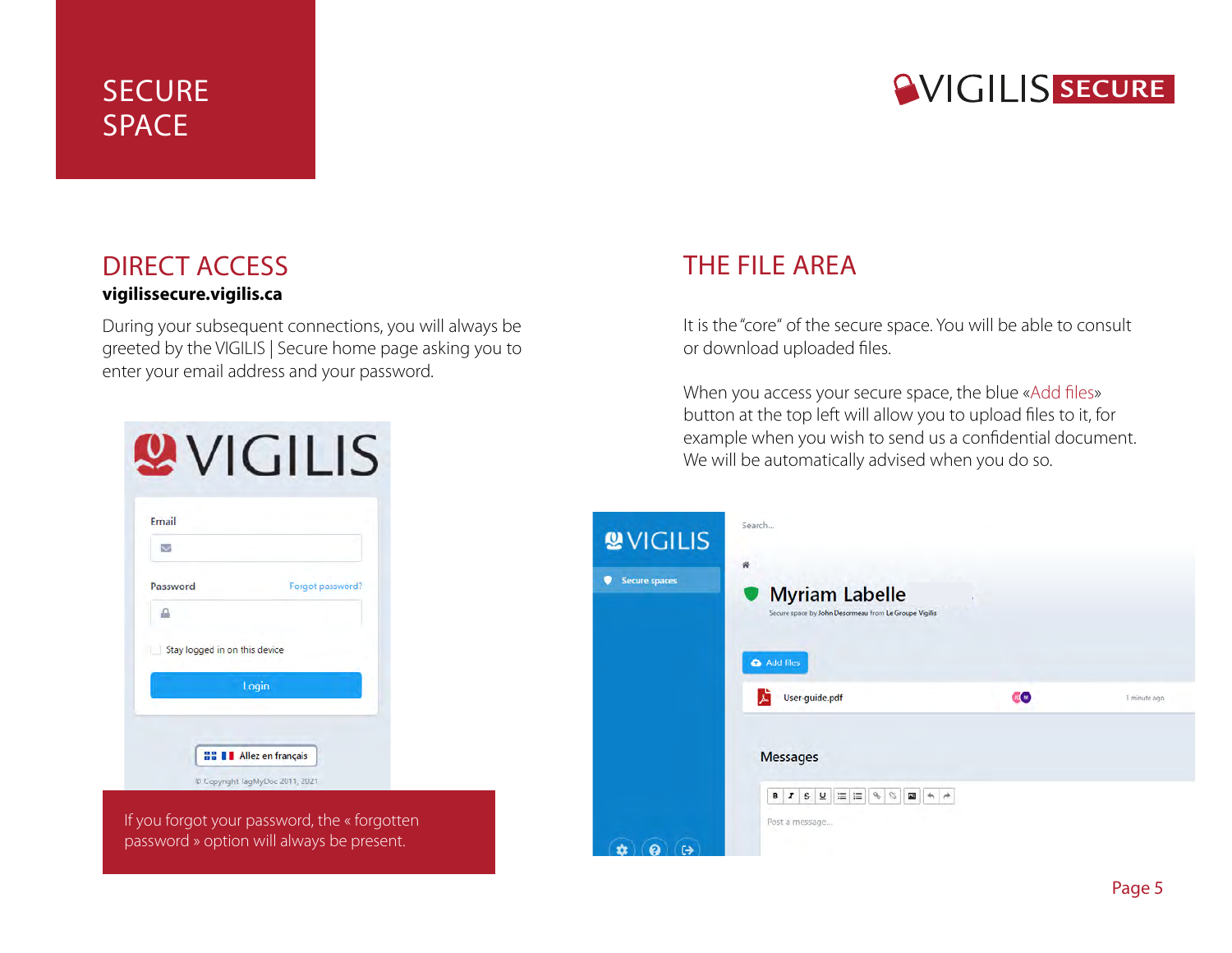# **SVIGILIS SECURE**

#### DIRECT ACCESS

#### **vigilissecure.vigilis.ca**

During your subsequent connections, you will always be greeted by the VIGILIS | Secure home page asking you to enter your email address and your password.

| Email                         |                  |
|-------------------------------|------------------|
| $\checkmark$                  |                  |
| Password                      | Forgot password? |
|                               |                  |
| Stay logged in on this device |                  |
|                               | Login            |

If you forgot your password, the « forgotten password » option will always be present.

#### THE FILE AREA

It is the "core" of the secure space. You will be able to consult or download uploaded files.

When you access your secure space, the blue «Add files» button at the top left will allow you to upload files to it, for example when you wish to send us a confidential document. We will be automatically advised when you do so.

| <b>WVIGILIS</b><br>Secure spaces | Search<br>带<br><b>Myriam Labelle</b><br>Secure space by John Desormeau from Le Groupe Vigilis<br>Add files    |               |               |
|----------------------------------|---------------------------------------------------------------------------------------------------------------|---------------|---------------|
|                                  | 로<br>User-guide.pdf<br><b>Messages</b>                                                                        | <b>EO</b>     | 1 minute ago. |
| $\leftrightarrow$                | $\equiv$ $\equiv$ $\sim$<br>$\mathbb{S}$<br>I S<br>$\overline{\mathsf{u}}$<br>国<br>в<br>$+$<br>Post a message | $\rightarrow$ |               |